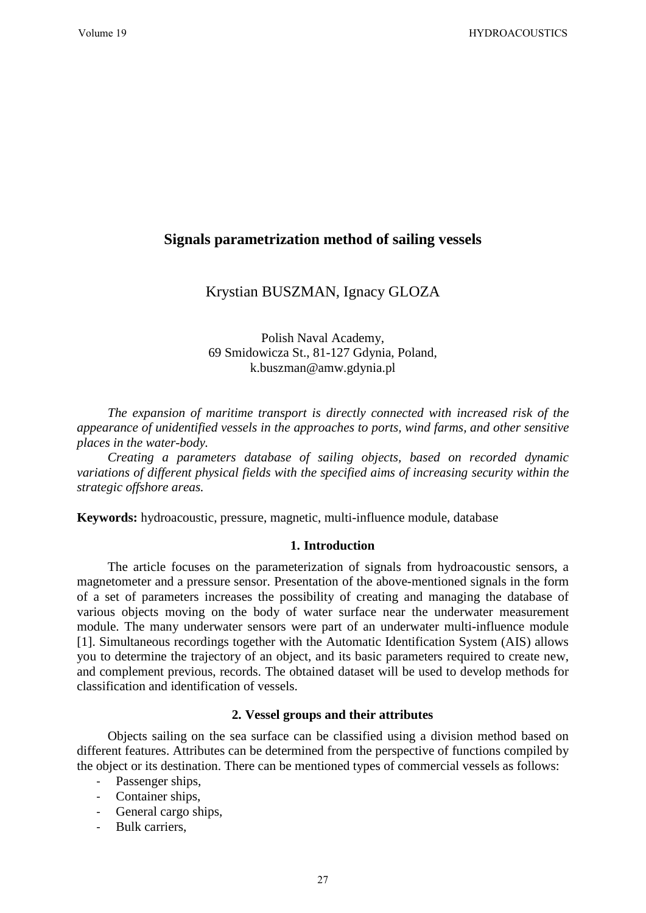# **Signals parametrization method of sailing vessels**

# Krystian BUSZMAN, Ignacy GLOZA

Polish Naval Academy, 69 Smidowicza St., 81-127 Gdynia, Poland, k.buszman@amw.gdynia.pl

*The expansion of maritime transport is directly connected with increased risk of the appearance of unidentified vessels in the approaches to ports, wind farms, and other sensitive places in the water-body.* 

*Creating a parameters database of sailing objects, based on recorded dynamic variations of different physical fields with the specified aims of increasing security within the strategic offshore areas.*

**Keywords:** hydroacoustic, pressure, magnetic, multi-influence module, database

#### **1. Introduction**

The article focuses on the parameterization of signals from hydroacoustic sensors, a magnetometer and a pressure sensor. Presentation of the above-mentioned signals in the form of a set of parameters increases the possibility of creating and managing the database of various objects moving on the body of water surface near the underwater measurement module. The many underwater sensors were part of an underwater multi-influence module [1]. Simultaneous recordings together with the Automatic Identification System (AIS) allows you to determine the trajectory of an object, and its basic parameters required to create new, and complement previous, records. The obtained dataset will be used to develop methods for classification and identification of vessels.

#### **2. Vessel groups and their attributes**

Objects sailing on the sea surface can be classified using a division method based on different features. Attributes can be determined from the perspective of functions compiled by the object or its destination. There can be mentioned types of commercial vessels as follows:

- Passenger ships,
- Container ships,
- General cargo ships,
- Bulk carriers,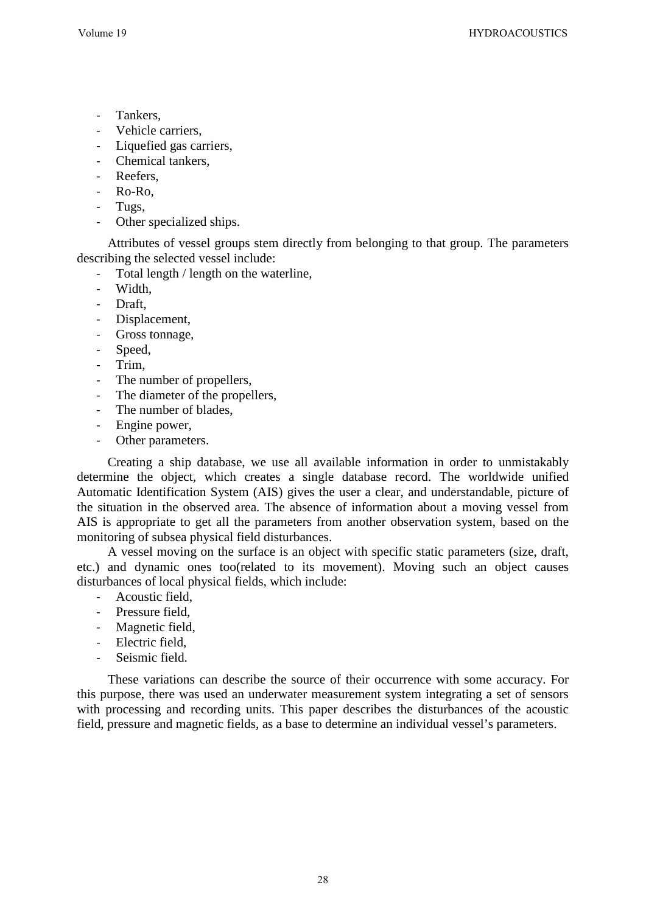- Tankers,
- Vehicle carriers,
- Liquefied gas carriers,
- Chemical tankers.
- Reefers,
- Ro-Ro,
- Tugs,
- Other specialized ships.

Attributes of vessel groups stem directly from belonging to that group. The parameters describing the selected vessel include:

- Total length / length on the waterline,
- Width,
- Draft,
- Displacement,
- Gross tonnage,
- Speed,
- Trim.
- The number of propellers,
- The diameter of the propellers,
- The number of blades,
- Engine power,
- Other parameters.

Creating a ship database, we use all available information in order to unmistakably determine the object, which creates a single database record. The worldwide unified Automatic Identification System (AIS) gives the user a clear, and understandable, picture of the situation in the observed area. The absence of information about a moving vessel from AIS is appropriate to get all the parameters from another observation system, based on the monitoring of subsea physical field disturbances.

A vessel moving on the surface is an object with specific static parameters (size, draft, etc.) and dynamic ones too(related to its movement). Moving such an object causes disturbances of local physical fields, which include:

- Acoustic field,
- Pressure field,
- Magnetic field,
- Electric field,
- Seismic field.

These variations can describe the source of their occurrence with some accuracy. For this purpose, there was used an underwater measurement system integrating a set of sensors with processing and recording units. This paper describes the disturbances of the acoustic field, pressure and magnetic fields, as a base to determine an individual vessel's parameters.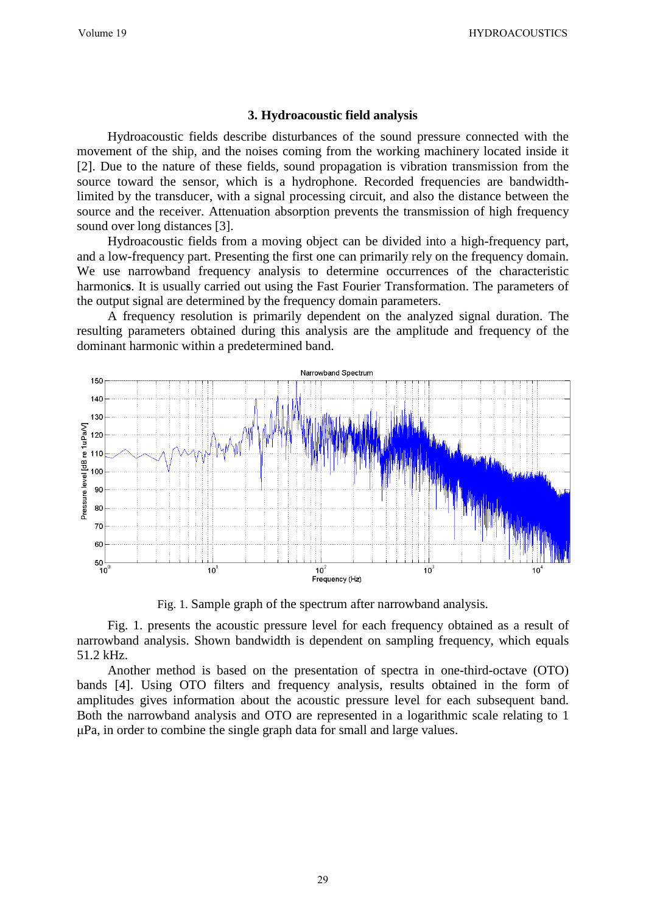## **3. Hydroacoustic field analysis**

Hydroacoustic fields describe disturbances of the sound pressure connected with the movement of the ship, and the noises coming from the working machinery located inside it [2]. Due to the nature of these fields, sound propagation is vibration transmission from the source toward the sensor, which is a hydrophone. Recorded frequencies are bandwidthlimited by the transducer, with a signal processing circuit, and also the distance between the source and the receiver. Attenuation absorption prevents the transmission of high frequency sound over long distances [3].

Hydroacoustic fields from a moving object can be divided into a high-frequency part, and a low-frequency part. Presenting the first one can primarily rely on the frequency domain. We use narrowband frequency analysis to determine occurrences of the characteristic harmonic**s**. It is usually carried out using the Fast Fourier Transformation. The parameters of the output signal are determined by the frequency domain parameters.

A frequency resolution is primarily dependent on the analyzed signal duration. The resulting parameters obtained during this analysis are the amplitude and frequency of the dominant harmonic within a predetermined band.



Fig. 1. Sample graph of the spectrum after narrowband analysis.

Fig. 1. presents the acoustic pressure level for each frequency obtained as a result of narrowband analysis. Shown bandwidth is dependent on sampling frequency, which equals 51.2 kHz.

Another method is based on the presentation of spectra in one-third-octave (OTO) bands [4]. Using OTO filters and frequency analysis, results obtained in the form of amplitudes gives information about the acoustic pressure level for each subsequent band. Both the narrowband analysis and OTO are represented in a logarithmic scale relating to 1 μPa, in order to combine the single graph data for small and large values.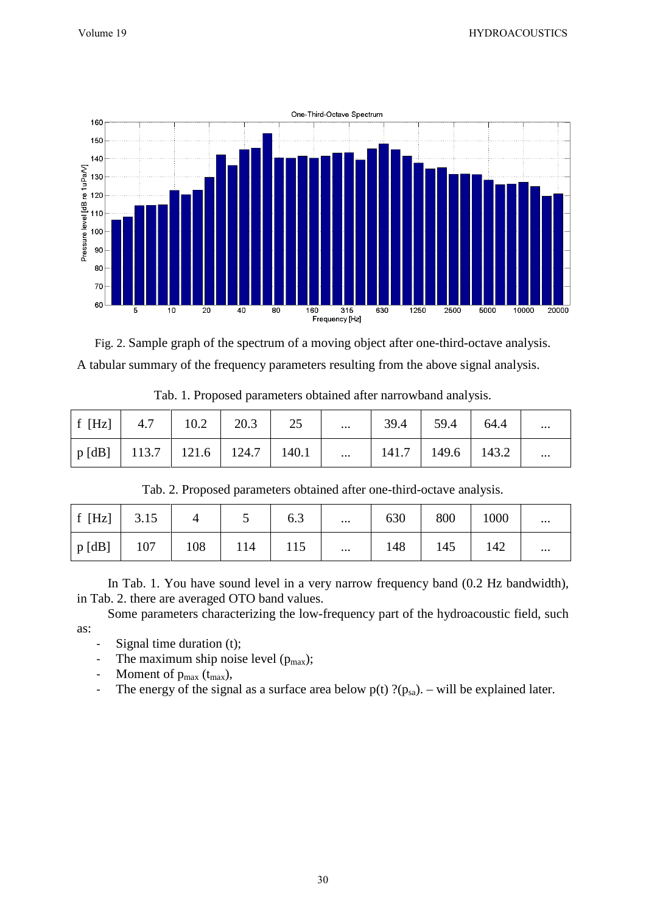

Fig. 2. Sample graph of the spectrum of a moving object after one-third-octave analysis. A tabular summary of the frequency parameters resulting from the above signal analysis.

| $\begin{array}{ c c c c c c c c c c c } \hline \end{array}$ f [Hz] $\begin{array}{ c c c c c c c c } \hline \end{array}$ 4.7 $\begin{array}{ c c c c c c } \hline \end{array}$ 10.2 $\begin{array}{ c c c c c c } \hline \end{array}$ 20.3 $\begin{array}{ c c c c c c } \hline \end{array}$ |  |  |  | $\ldots$   39.4   59.4   64.4 | $\cdots$ |
|----------------------------------------------------------------------------------------------------------------------------------------------------------------------------------------------------------------------------------------------------------------------------------------------|--|--|--|-------------------------------|----------|
| $\vert$ p [dB] $\vert$ 113.7 $\vert$ 121.6 $\vert$ 124.7 $\vert$ 140.1 $\vert$ $\vert$ 141.7 $\vert$ 149.6 $\vert$ 143.2 $\vert$                                                                                                                                                             |  |  |  |                               | $\cdots$ |

Tab. 1. Proposed parameters obtained after narrowband analysis.

| Tab. 2. Proposed parameters obtained after one-third-octave analysis. |      |     |     |     |          |     |     |      |          |  |  |
|-----------------------------------------------------------------------|------|-----|-----|-----|----------|-----|-----|------|----------|--|--|
| f $[Hz]$                                                              | 3.15 |     |     | 6.3 | $\cdots$ | 630 | 800 | 1000 | $\cdots$ |  |  |
| p [dB]                                                                | 107  | 108 | 114 | 115 | $\cdots$ | 148 | 145 | 142  | $\cdots$ |  |  |

In Tab. 1. You have sound level in a very narrow frequency band (0.2 Hz bandwidth), in Tab. 2. there are averaged OTO band values.

Some parameters characterizing the low-frequency part of the hydroacoustic field, such as:

- Signal time duration (t);
- The maximum ship noise level  $(p_{max})$ ;
- Moment of  $p_{max}$  ( $t_{max}$ ),
- The energy of the signal as a surface area below  $p(t)$  ?( $p_{sa}$ ). will be explained later.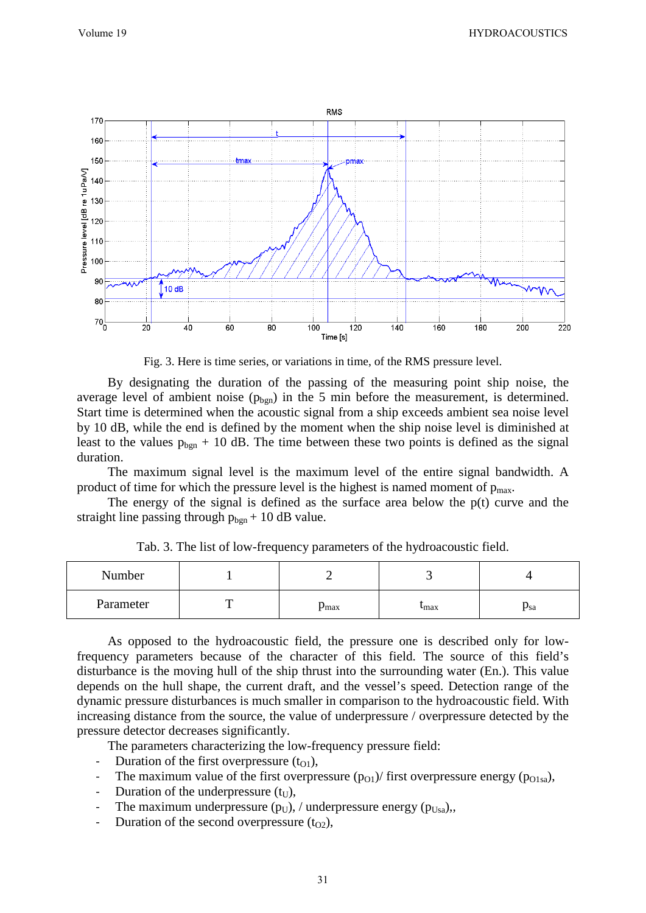

Fig. 3. Here is time series, or variations in time, of the RMS pressure level.

By designating the duration of the passing of the measuring point ship noise, the average level of ambient noise  $(p_{bgn})$  in the 5 min before the measurement, is determined. Start time is determined when the acoustic signal from a ship exceeds ambient sea noise level by 10 dB, while the end is defined by the moment when the ship noise level is diminished at least to the values  $p_{bgn}$  + 10 dB. The time between these two points is defined as the signal duration.

The maximum signal level is the maximum level of the entire signal bandwidth. A product of time for which the pressure level is the highest is named moment of  $p_{\text{max}}$ .

The energy of the signal is defined as the surface area below the  $p(t)$  curve and the straight line passing through  $p_{bgn} + 10$  dB value.

| Number    |                  |                           |     |
|-----------|------------------|---------------------------|-----|
| Parameter | $p_{\text{max}}$ | $\mathbf{u}_{\text{max}}$ | Psa |

Tab. 3. The list of low-frequency parameters of the hydroacoustic field.

As opposed to the hydroacoustic field, the pressure one is described only for lowfrequency parameters because of the character of this field. The source of this field's disturbance is the moving hull of the ship thrust into the surrounding water (En.). This value depends on the hull shape, the current draft, and the vessel's speed. Detection range of the dynamic pressure disturbances is much smaller in comparison to the hydroacoustic field. With increasing distance from the source, the value of underpressure / overpressure detected by the pressure detector decreases significantly.

The parameters characterizing the low-frequency pressure field:

- Duration of the first overpressure  $(t_{01})$ ,
- The maximum value of the first overpressure  $(p_{01})$ / first overpressure energy ( $p_{01sa}$ ),
- Duration of the underpressure  $(t_{\text{U}})$ ,
- The maximum underpressure ( $p_U$ ), / underpressure energy ( $p_{Usa}$ ),
- Duration of the second overpressure  $(t_{O2})$ ,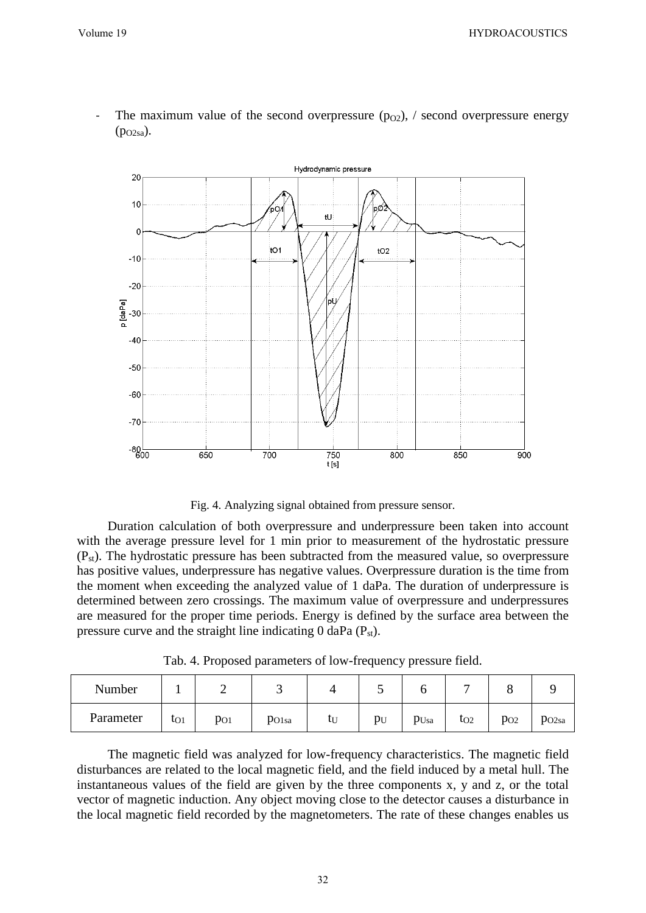

The maximum value of the second overpressure ( $p_{02}$ ), / second overpressure energy  $(p_{O2sa})$ .

Fig. 4. Analyzing signal obtained from pressure sensor.

Duration calculation of both overpressure and underpressure been taken into account with the average pressure level for 1 min prior to measurement of the hydrostatic pressure  $(P_{st})$ . The hydrostatic pressure has been subtracted from the measured value, so overpressure has positive values, underpressure has negative values. Overpressure duration is the time from the moment when exceeding the analyzed value of 1 daPa. The duration of underpressure is determined between zero crossings. The maximum value of overpressure and underpressures are measured for the proper time periods. Energy is defined by the surface area between the pressure curve and the straight line indicating  $0$  daPa ( $P_{st}$ ).

Tab. 4. Proposed parameters of low-frequency pressure field.

| Number    |              | ∼        |                   |    | ັ     | U    |              |          |                   |
|-----------|--------------|----------|-------------------|----|-------|------|--------------|----------|-------------------|
| Parameter | $\iota_{O1}$ | $p_{O1}$ | PO <sub>1sa</sub> | ιU | $p_U$ | PUsa | $\iota_{O2}$ | $p_{O2}$ | PO <sub>2sa</sub> |

The magnetic field was analyzed for low-frequency characteristics. The magnetic field disturbances are related to the local magnetic field, and the field induced by a metal hull. The instantaneous values of the field are given by the three components x, y and z, or the total vector of magnetic induction. Any object moving close to the detector causes a disturbance in the local magnetic field recorded by the magnetometers. The rate of these changes enables us

32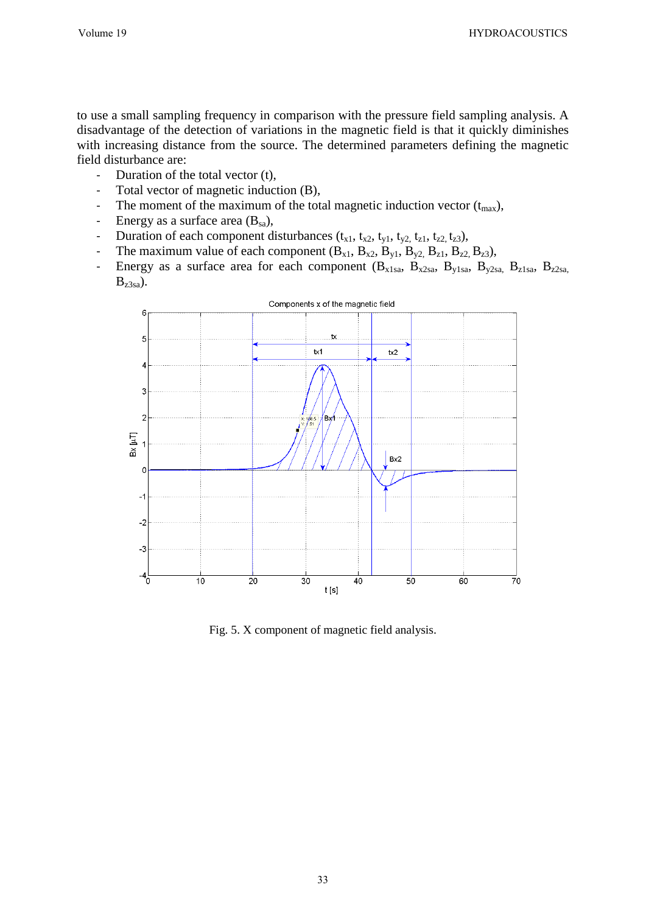to use a small sampling frequency in comparison with the pressure field sampling analysis. A disadvantage of the detection of variations in the magnetic field is that it quickly diminishes with increasing distance from the source. The determined parameters defining the magnetic field disturbance are:

- Duration of the total vector (t),
- Total vector of magnetic induction (B),
- The moment of the maximum of the total magnetic induction vector  $(t_{max})$ ,
- Energy as a surface area  $(B_{sa})$ ,
- Duration of each component disturbances  $(t_{x1}, t_{x2}, t_{y1}, t_{y2}, t_{z1}, t_{z2}, t_{z3})$ ,
- The maximum value of each component  $(B_{x1}, B_{x2}, B_{y1}, B_{y2}, B_{z1}, B_{z2}, B_{z3})$ ,
- Energy as a surface area for each component  $(B_{x1sa}, B_{x2sa}, B_{y1sa}, B_{y2sa}, B_{z1sa}, B_{z2sa})$  $B_{z3sa}$ ).



Fig. 5. X component of magnetic field analysis.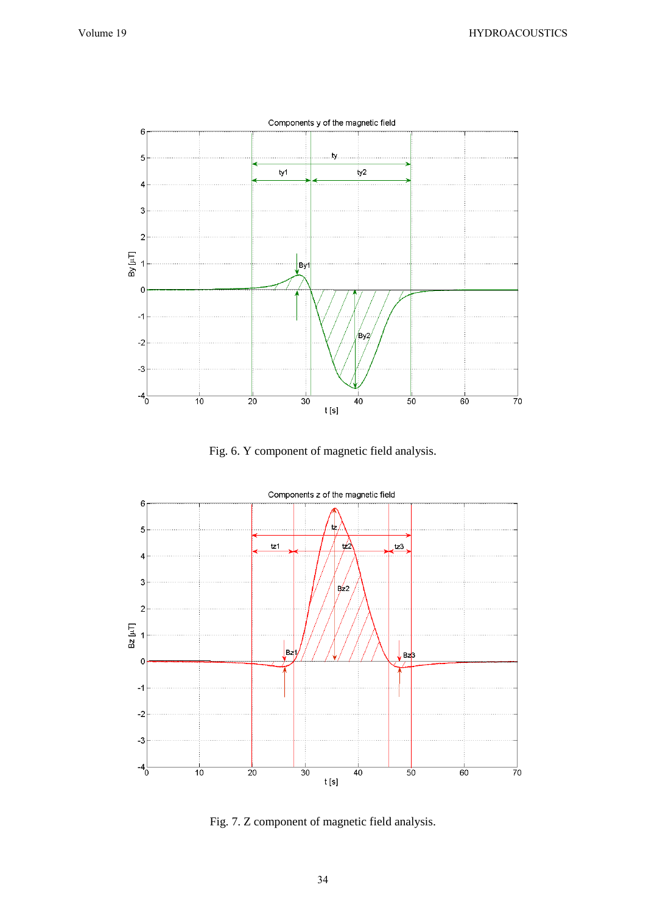

Fig. 6. Y component of magnetic field analysis.



Fig. 7. Z component of magnetic field analysis.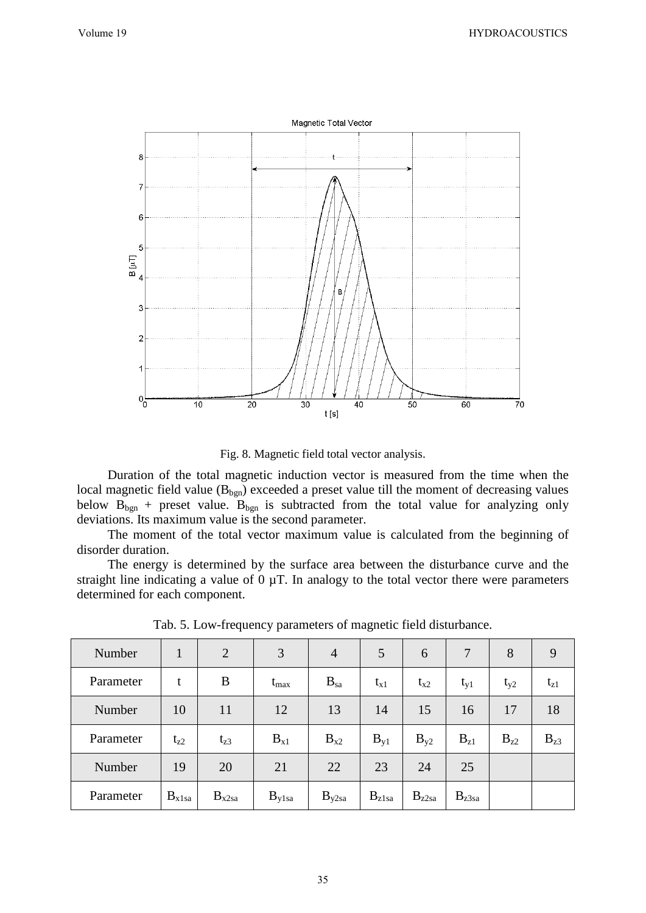

Fig. 8. Magnetic field total vector analysis.

Duration of the total magnetic induction vector is measured from the time when the local magnetic field value  $(B_{bgn})$  exceeded a preset value till the moment of decreasing values below  $B_{bgn}$  + preset value.  $B_{bgn}$  is subtracted from the total value for analyzing only deviations. Its maximum value is the second parameter.

The moment of the total vector maximum value is calculated from the beginning of disorder duration.

The energy is determined by the surface area between the disturbance curve and the straight line indicating a value of  $0 \mu$ T. In analogy to the total vector there were parameters determined for each component.

| Number    | 1          | $\overline{2}$ | 3                 | $\overline{4}$    | 5          | 6          | 7          | 8        | 9        |
|-----------|------------|----------------|-------------------|-------------------|------------|------------|------------|----------|----------|
| Parameter | t          | B              | $t_{\rm max}$     | $B_{sa}$          | $t_{x1}$   | $t_{x2}$   | $t_{y1}$   | $t_{y2}$ | $t_{z1}$ |
| Number    | 10         | 11             | 12                | 13                | 14         | 15         | 16         | 17       | 18       |
| Parameter | $t_{z2}$   | $t_{z3}$       | $B_{x1}$          | $B_{x2}$          | $B_{v1}$   | $B_{v2}$   | $B_{z1}$   | $B_{z2}$ | $B_{z3}$ |
| Number    | 19         | 20             | 21                | 22                | 23         | 24         | 25         |          |          |
| Parameter | $B_{x1sa}$ | $B_{x2sa}$     | $B_{\text{y1sa}}$ | $B_{\text{y2sa}}$ | $B_{z1sa}$ | $B_{z2sa}$ | $B_{z3sa}$ |          |          |

Tab. 5. Low-frequency parameters of magnetic field disturbance.